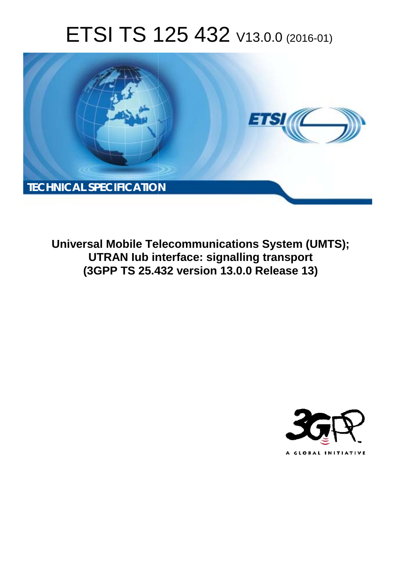# ETSI TS 125 432 V13.0.0 (2016-01)



**Universal Mobile Tel elecommunications System ( (UMTS); UTRAN Iub in interface: signalling transport** UTRAN lub interface: signalling transport<br>(3GPP TS 25.432 version 13.0.0 Release 13)

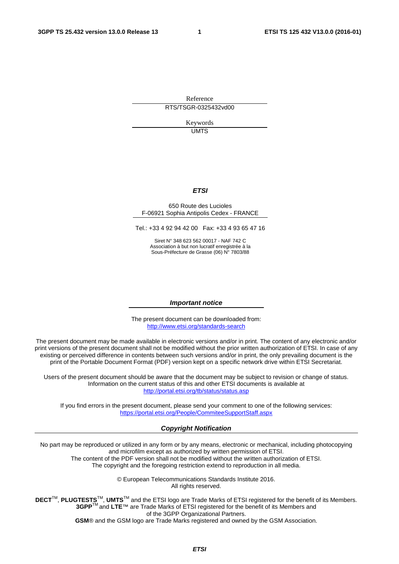Reference RTS/TSGR-0325432vd00

> Keywords UMTS

#### *ETSI*

#### 650 Route des Lucioles F-06921 Sophia Antipolis Cedex - FRANCE

Tel.: +33 4 92 94 42 00 Fax: +33 4 93 65 47 16

Siret N° 348 623 562 00017 - NAF 742 C Association à but non lucratif enregistrée à la Sous-Préfecture de Grasse (06) N° 7803/88

#### *Important notice*

The present document can be downloaded from: <http://www.etsi.org/standards-search>

The present document may be made available in electronic versions and/or in print. The content of any electronic and/or print versions of the present document shall not be modified without the prior written authorization of ETSI. In case of any existing or perceived difference in contents between such versions and/or in print, the only prevailing document is the print of the Portable Document Format (PDF) version kept on a specific network drive within ETSI Secretariat.

Users of the present document should be aware that the document may be subject to revision or change of status. Information on the current status of this and other ETSI documents is available at <http://portal.etsi.org/tb/status/status.asp>

If you find errors in the present document, please send your comment to one of the following services: <https://portal.etsi.org/People/CommiteeSupportStaff.aspx>

#### *Copyright Notification*

No part may be reproduced or utilized in any form or by any means, electronic or mechanical, including photocopying and microfilm except as authorized by written permission of ETSI.

The content of the PDF version shall not be modified without the written authorization of ETSI. The copyright and the foregoing restriction extend to reproduction in all media.

> © European Telecommunications Standards Institute 2016. All rights reserved.

**DECT**TM, **PLUGTESTS**TM, **UMTS**TM and the ETSI logo are Trade Marks of ETSI registered for the benefit of its Members. **3GPP**TM and **LTE**™ are Trade Marks of ETSI registered for the benefit of its Members and of the 3GPP Organizational Partners.

**GSM**® and the GSM logo are Trade Marks registered and owned by the GSM Association.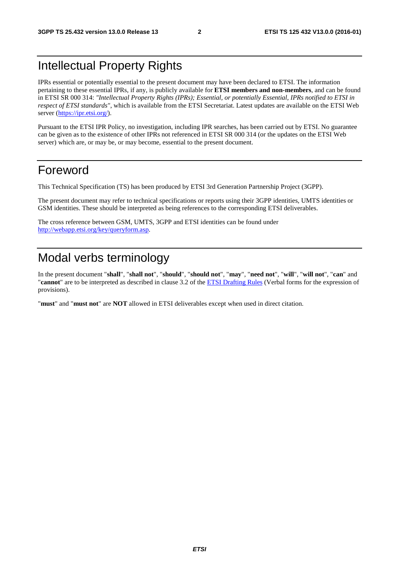### Intellectual Property Rights

IPRs essential or potentially essential to the present document may have been declared to ETSI. The information pertaining to these essential IPRs, if any, is publicly available for **ETSI members and non-members**, and can be found in ETSI SR 000 314: *"Intellectual Property Rights (IPRs); Essential, or potentially Essential, IPRs notified to ETSI in respect of ETSI standards"*, which is available from the ETSI Secretariat. Latest updates are available on the ETSI Web server [\(https://ipr.etsi.org/](https://ipr.etsi.org/)).

Pursuant to the ETSI IPR Policy, no investigation, including IPR searches, has been carried out by ETSI. No guarantee can be given as to the existence of other IPRs not referenced in ETSI SR 000 314 (or the updates on the ETSI Web server) which are, or may be, or may become, essential to the present document.

### Foreword

This Technical Specification (TS) has been produced by ETSI 3rd Generation Partnership Project (3GPP).

The present document may refer to technical specifications or reports using their 3GPP identities, UMTS identities or GSM identities. These should be interpreted as being references to the corresponding ETSI deliverables.

The cross reference between GSM, UMTS, 3GPP and ETSI identities can be found under [http://webapp.etsi.org/key/queryform.asp.](http://webapp.etsi.org/key/queryform.asp)

## Modal verbs terminology

In the present document "**shall**", "**shall not**", "**should**", "**should not**", "**may**", "**need not**", "**will**", "**will not**", "**can**" and "**cannot**" are to be interpreted as described in clause 3.2 of the [ETSI Drafting Rules](http://portal.etsi.org/Help/editHelp!/Howtostart/ETSIDraftingRules.aspx) (Verbal forms for the expression of provisions).

"**must**" and "**must not**" are **NOT** allowed in ETSI deliverables except when used in direct citation.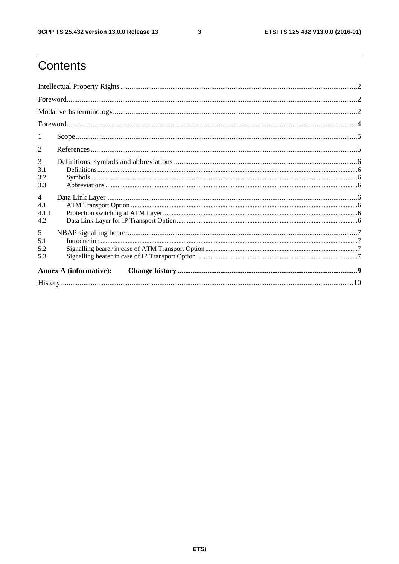$\mathbf{3}$ 

# Contents

| 1                                     |  |  |  |  |  |
|---------------------------------------|--|--|--|--|--|
| 2                                     |  |  |  |  |  |
| 3<br>3.1<br>3.2<br>3.3                |  |  |  |  |  |
| $\overline{4}$<br>4.1<br>4.1.1<br>4.2 |  |  |  |  |  |
| 5<br>5.1<br>5.2<br>5.3                |  |  |  |  |  |
| <b>Annex A (informative):</b>         |  |  |  |  |  |
|                                       |  |  |  |  |  |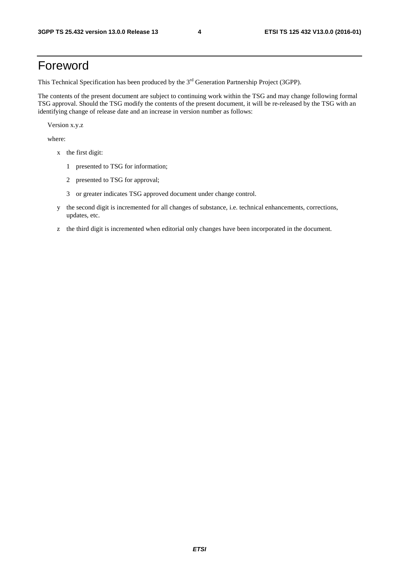### Foreword

This Technical Specification has been produced by the 3<sup>rd</sup> Generation Partnership Project (3GPP).

The contents of the present document are subject to continuing work within the TSG and may change following formal TSG approval. Should the TSG modify the contents of the present document, it will be re-released by the TSG with an identifying change of release date and an increase in version number as follows:

Version x.y.z

where:

- x the first digit:
	- 1 presented to TSG for information;
	- 2 presented to TSG for approval;
	- 3 or greater indicates TSG approved document under change control.
- y the second digit is incremented for all changes of substance, i.e. technical enhancements, corrections, updates, etc.
- z the third digit is incremented when editorial only changes have been incorporated in the document.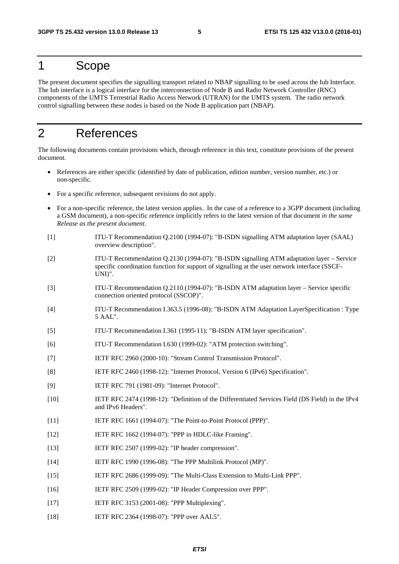### 1 Scope

The present document specifies the signalling transport related to NBAP signalling to be used across the Iub Interface. The Iub interface is a logical interface for the interconnection of Node B and Radio Network Controller (RNC) components of the UMTS Terrestrial Radio Access Network (UTRAN) for the UMTS system. The radio network control signalling between these nodes is based on the Node B application part (NBAP).

### 2 References

The following documents contain provisions which, through reference in this text, constitute provisions of the present document.

- References are either specific (identified by date of publication, edition number, version number, etc.) or non-specific.
- For a specific reference, subsequent revisions do not apply.
- For a non-specific reference, the latest version applies. In the case of a reference to a 3GPP document (including a GSM document), a non-specific reference implicitly refers to the latest version of that document *in the same Release as the present document*.
- [1] ITU-T Recommendation Q.2100 (1994-07): "B-ISDN signalling ATM adaptation layer (SAAL) overview description".
- [2] ITU-T Recommendation Q.2130 (1994-07): "B-ISDN signalling ATM adaptation layer Service specific coordination function for support of signalling at the user network interface (SSCF– UNI)".
- [3] ITU-T Recommendation Q.2110 (1994-07): "B-ISDN ATM adaptation layer Service specific connection oriented protocol (SSCOP)".
- [4] ITU-T Recommendation I.363.5 (1996-08): "B-ISDN ATM Adaptation LayerSpecification : Type 5 AAL".
- [5] ITU-T Recommendation I.361 (1995-11): "B-ISDN ATM layer specification".
- [6] ITU-T Recommendation I.630 (1999-02): "ATM protection switching".
- [7] IETF RFC 2960 (2000-10): "Stream Control Transmission Protocol".
- [8] IETF RFC 2460 (1998-12): "Internet Protocol, Version 6 (IPv6) Specification".
- [9] IETF RFC 791 (1981-09): "Internet Protocol".
- [10] IETF RFC 2474 (1998-12): "Definition of the Differentiated Services Field (DS Field) in the IPv4 and IPv6 Headers".
- [11] IETF RFC 1661 (1994-07): "The Point-to-Point Protocol (PPP)".
- [12] IETF RFC 1662 (1994-07): "PPP in HDLC-like Framing".
- [13] **IETF RFC 2507 (1999-02): "IP header compression".**
- [14] IETF RFC 1990 (1996-08): "The PPP Multilink Protocol (MP)".
- [15] IETF RFC 2686 (1999-09): "The Multi-Class Extension to Multi-Link PPP".
- [16] IETF RFC 2509 (1999-02): "IP Header Compression over PPP".
- [17] **IETF RFC 3153 (2001-08): "PPP Multiplexing".**
- [18] IETF RFC 2364 (1998-07): "PPP over AAL5".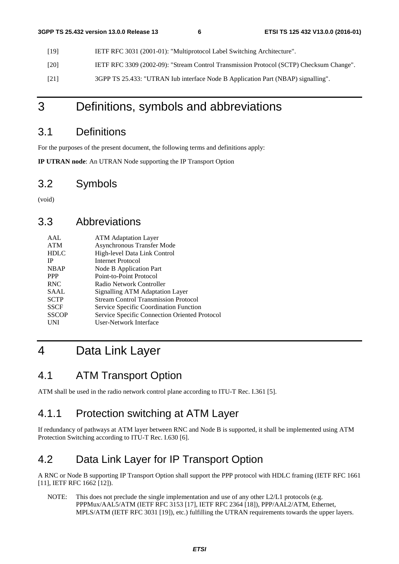- [19] IETF RFC 3031 (2001-01): "Multiprotocol Label Switching Architecture".
- [20] IETF RFC 3309 (2002-09): "Stream Control Transmission Protocol (SCTP) Checksum Change".
- [21] 3GPP TS 25.433: "UTRAN Iub interface Node B Application Part (NBAP) signalling".

### 3 Definitions, symbols and abbreviations

#### 3.1 Definitions

For the purposes of the present document, the following terms and definitions apply:

**IP UTRAN node**: An UTRAN Node supporting the IP Transport Option

#### 3.2 Symbols

(void)

#### 3.3 Abbreviations

| AAI.         | <b>ATM</b> Adaptation Layer                   |
|--------------|-----------------------------------------------|
| <b>ATM</b>   | Asynchronous Transfer Mode                    |
| <b>HDLC</b>  | High-level Data Link Control                  |
| <b>IP</b>    | Internet Protocol                             |
| <b>NBAP</b>  | Node B Application Part                       |
| <b>PPP</b>   | Point-to-Point Protocol                       |
| <b>RNC</b>   | Radio Network Controller                      |
| SAAL         | Signalling ATM Adaptation Layer               |
| <b>SCTP</b>  | <b>Stream Control Transmission Protocol</b>   |
| <b>SSCF</b>  | Service Specific Coordination Function        |
| <b>SSCOP</b> | Service Specific Connection Oriented Protocol |
| UNI          | User-Network Interface                        |

# 4 Data Link Layer

#### 4.1 ATM Transport Option

ATM shall be used in the radio network control plane according to ITU-T Rec. I.361 [5].

#### 4.1.1 Protection switching at ATM Layer

If redundancy of pathways at ATM layer between RNC and Node B is supported, it shall be implemented using ATM Protection Switching according to ITU-T Rec. I.630 [6].

#### 4.2 Data Link Layer for IP Transport Option

A RNC or Node B supporting IP Transport Option shall support the PPP protocol with HDLC framing (IETF RFC 1661 [11], IETF RFC 1662 [12]).

NOTE: This does not preclude the single implementation and use of any other L2/L1 protocols (e.g. PPPMux/AAL5/ATM (IETF RFC 3153 [17], IETF RFC 2364 [18]), PPP/AAL2/ATM, Ethernet, MPLS/ATM (IETF RFC 3031 [19]), etc.) fulfilling the UTRAN requirements towards the upper layers.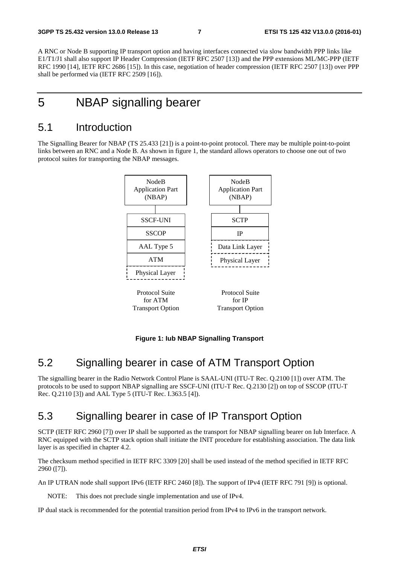A RNC or Node B supporting IP transport option and having interfaces connected via slow bandwidth PPP links like E1/T1/J1 shall also support IP Header Compression (IETF RFC 2507 [13]) and the PPP extensions ML/MC-PPP (IETF RFC 1990 [14], IETF RFC 2686 [15]). In this case, negotiation of header compression (IETF RFC 2507 [13]) over PPP shall be performed via (IETF RFC 2509 [16]).

### 5 NBAP signalling bearer

#### 5.1 Introduction

The Signalling Bearer for NBAP (TS 25.433 [21]) is a point-to-point protocol. There may be multiple point-to-point links between an RNC and a Node B. As shown in figure 1, the standard allows operators to choose one out of two protocol suites for transporting the NBAP messages.



#### **Figure 1: Iub NBAP Signalling Transport**

#### 5.2 Signalling bearer in case of ATM Transport Option

The signalling bearer in the Radio Network Control Plane is SAAL-UNI (ITU-T Rec. Q.2100 [1]) over ATM. The protocols to be used to support NBAP signalling are SSCF-UNI (ITU-T Rec. Q.2130 [2]) on top of SSCOP (ITU-T Rec. Q.2110 [3]) and AAL Type 5 (ITU-T Rec. I.363.5 [4]).

### 5.3 Signalling bearer in case of IP Transport Option

SCTP (IETF RFC 2960 [7]) over IP shall be supported as the transport for NBAP signalling bearer on Iub Interface. A RNC equipped with the SCTP stack option shall initiate the INIT procedure for establishing association. The data link layer is as specified in chapter 4.2.

The checksum method specified in IETF RFC 3309 [20] shall be used instead of the method specified in IETF RFC 2960 ([7]).

An IP UTRAN node shall support IPv6 (IETF RFC 2460 [8]). The support of IPv4 (IETF RFC 791 [9]) is optional.

NOTE: This does not preclude single implementation and use of IPv4.

IP dual stack is recommended for the potential transition period from IPv4 to IPv6 in the transport network.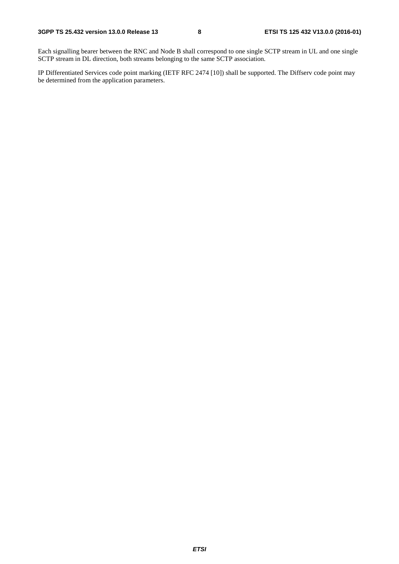Each signalling bearer between the RNC and Node B shall correspond to one single SCTP stream in UL and one single SCTP stream in DL direction, both streams belonging to the same SCTP association.

IP Differentiated Services code point marking (IETF RFC 2474 [10]) shall be supported. The Diffserv code point may be determined from the application parameters.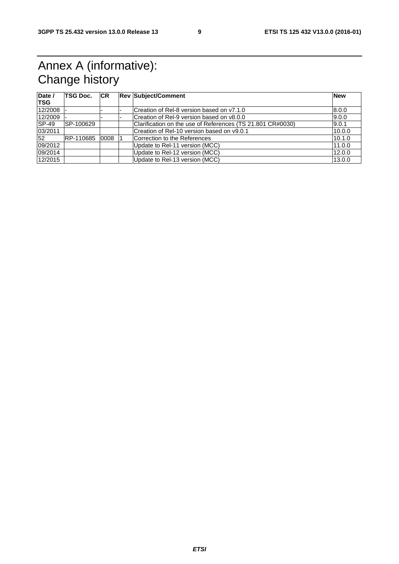# Annex A (informative): Change history

| Date /<br><b>TSG</b> | <b>TSG Doc.</b> | <b>CR</b> | <b>Rev Subject/Comment</b>                                 | <b>New</b> |
|----------------------|-----------------|-----------|------------------------------------------------------------|------------|
| 12/2008              |                 |           | Creation of Rel-8 version based on y7.1.0                  | 8.0.0      |
| 12/2009              |                 |           | Creation of Rel-9 version based on v8.0.0                  | 9.0.0      |
| <b>SP-49</b>         | SP-100629       |           | Clarification on the use of References (TS 21.801 CR#0030) | 9.0.1      |
| 03/2011              |                 |           | Creation of Rel-10 version based on v9.0.1                 | 10.0.0     |
| 52                   | RP-110685       | 0008      | Correction to the References                               | 10.1.0     |
| 09/2012              |                 |           | Update to Rel-11 version (MCC)                             | 11.0.0     |
| 09/2014              |                 |           | Update to Rel-12 version (MCC)                             | 12.0.0     |
| 12/2015              |                 |           | Update to Rel-13 version (MCC)                             | 13.0.0     |